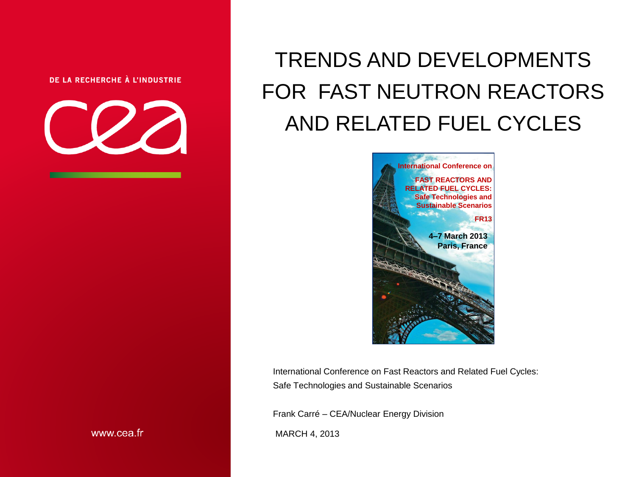#### DE LA RECHERCHE À L'INDUSTRIE



# TRENDS AND DEVELOPMENTS FOR FAST NEUTRON REACTORS AND RELATED FUEL CYCLES



International Conference on Fast Reactors and Related Fuel Cycles: Safe Technologies and Sustainable Scenarios

Frank Carré – CEA/Nuclear Energy Division

MARCH 4, 2013

www.cea.fr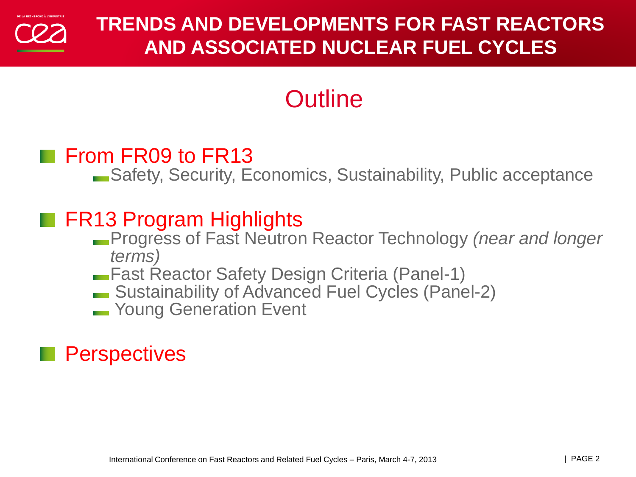

# **Outline**

## From FR09 to FR13

Safety, Security, Economics, Sustainability, Public acceptance

## **FR13 Program Highlights**

- Progress of Fast Neutron Reactor Technology *(near and longer terms)*
- Fast Reactor Safety Design Criteria (Panel-1)
- Sustainability of Advanced Fuel Cycles (Panel-2)
- **Noung Generation Event**

## **Perspectives**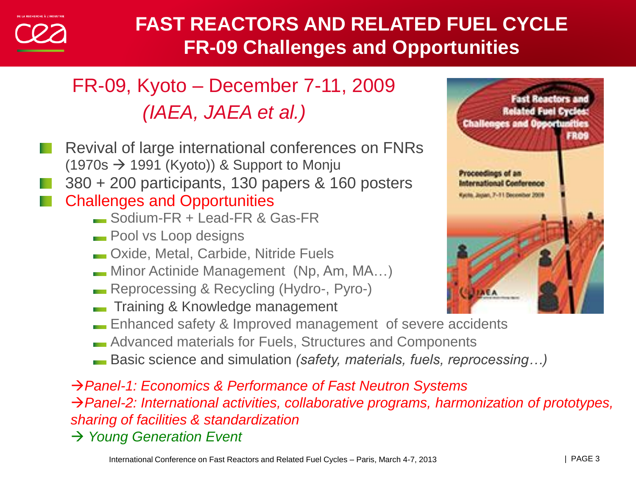

## **FAST REACTORS AND RELATED FUEL CYCLE FR-09 Challenges and Opportunities**

# FR-09, Kyoto – December 7-11, 2009  *(IAEA, JAEA et al.)*

- Revival of large international conferences on FNRs  $(1970s \rightarrow 1991$  (Kyoto)) & Support to Monju 380 + 200 participants, 130 papers & 160 posters Challenges and Opportunities Sodium-FR + Lead-FR & Gas-FR Pool vs Loop designs Oxide, Metal, Carbide, Nitride Fuels Minor Actinide Management (Np, Am, MA…) Reprocessing & Recycling (Hydro-, Pyro-)
	- Training & Knowledge management
	- **Enhanced safety & Improved management of severe accidents**
	- **Advanced materials for Fuels, Structures and Components**
	- Basic science and simulation *(safety, materials, fuels, reprocessing…)*

*Panel-1: Economics & Performance of Fast Neutron Systems Panel-2: International activities, collaborative programs, harmonization of prototypes, sharing of facilities & standardization* → Young Generation Event

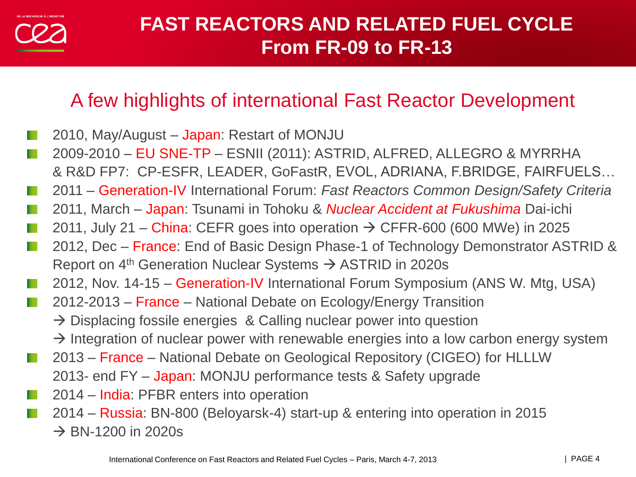## **FAST REACTORS AND RELATED FUEL CYCLE From FR-09 to FR-13**

## A few highlights of international Fast Reactor Development

- 2010, May/August Japan: Restart of MONJU
- 2009-2010 EU SNE-TP ESNII (2011): ASTRID, ALFRED, ALLEGRO & MYRRHA & R&D FP7: CP-ESFR, LEADER, GoFastR, EVOL, ADRIANA, F.BRIDGE, FAIRFUELS…
- 2011 Generation-IV International Forum: *Fast Reactors Common Design/Safety Criteria*
- 2011, March Japan: Tsunami in Tohoku & *Nuclear Accident at Fukushima* Dai-ichi
- 2011, July 21 China: CEFR goes into operation  $\rightarrow$  CFFR-600 (600 MWe) in 2025
- 2012, Dec France: End of Basic Design Phase-1 of Technology Demonstrator ASTRID & Report on  $4<sup>th</sup>$  Generation Nuclear Systems  $\rightarrow$  ASTRID in 2020s
- 2012, Nov. 14-15 Generation-IV International Forum Symposium (ANS W. Mtg, USA)
- 2012-2013 France National Debate on Ecology/Energy Transition
	- $\rightarrow$  Displacing fossile energies & Calling nuclear power into question
	- $\rightarrow$  Integration of nuclear power with renewable energies into a low carbon energy system
- 2013 France National Debate on Geological Repository (CIGEO) for HLLLW
- 2013- end FY Japan: MONJU performance tests & Safety upgrade
- 2014 India: PFBR enters into operation
- 2014 Russia: BN-800 (Beloyarsk-4) start-up & entering into operation in 2015  $\rightarrow$  BN-1200 in 2020s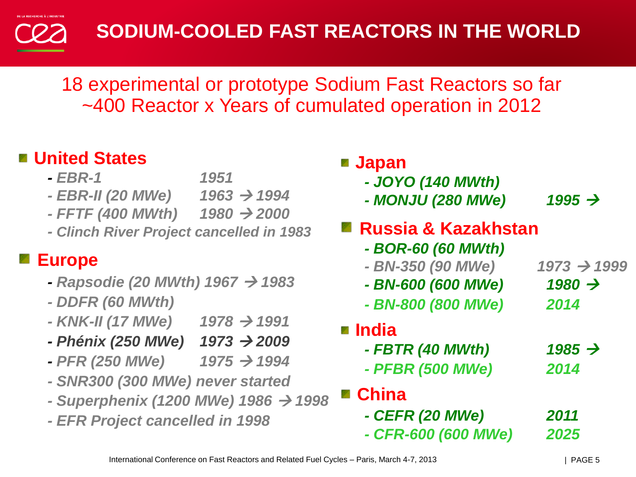## **SODIUM-COOLED FAST REACTORS IN THE WORLD**

18 experimental or prototype Sodium Fast Reactors so far ~400 Reactor x Years of cumulated operation in 2012

## **United States**

- *- EBR-1 1951*
- *- EBR-II (20 MWe) 1963 1994*
- *- FFTF (400 MWth) 1980 2000*

*- Clinch River Project cancelled in 1983*

## **Europe**

- *- Rapsodie (20 MWth) 1967 1983*
- *- DDFR (60 MWth)*
- *- KNK-II (17 MWe) 1978 1991*
- *- Phénix (250 MWe) 1973 2009*
- *- PFR (250 MWe) 1975 1994*
- *- SNR300 (300 MWe) never started*
- *- Superphenix (1200 MWe) 1986 1998*
- *- EFR Project cancelled in 1998*

| <b>■ Japan</b><br>- JOYO (140 MWth)<br>- MONJU (280 MWe) | 1995 $\rightarrow$ |
|----------------------------------------------------------|--------------------|
| ■ Russia & Kazakhstan<br>- BOR-60 (60 MWth)              |                    |
| - BN-350 (90 MWe)                                        | $1973 \div 1999$   |
| - BN-600 (600 MWe)                                       | 1980 $\rightarrow$ |
| - BN-800 (800 MWe)                                       | 2014               |
| <b>■ India</b>                                           |                    |
| - FBTR (40 MWth)                                         | 1985 $\rightarrow$ |
| - PFBR (500 MWe)                                         | 2014               |
| <b>■ China</b>                                           |                    |
| - CEFR (20 MWe)                                          | 2011               |
| - CFR-600 (600 MWe)                                      | 2025               |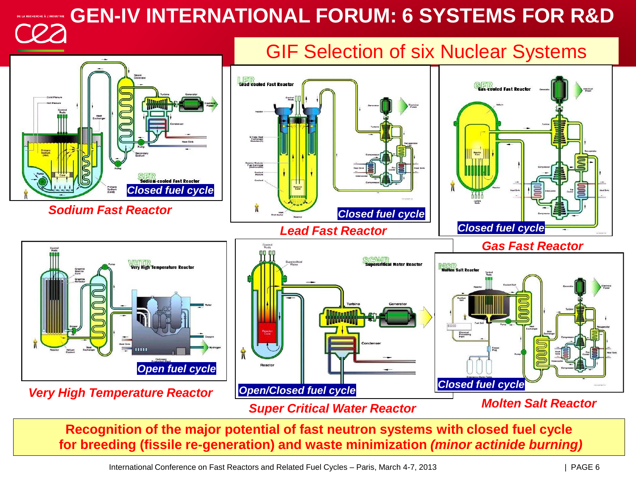**GEN-IV INTERNATIONAL FORUM: 6 SYSTEMS FOR R&D**



**Recognition of the major potential of fast neutron systems with closed fuel cycle for breeding (fissile re-generation) and waste minimization** *(minor actinide burning)*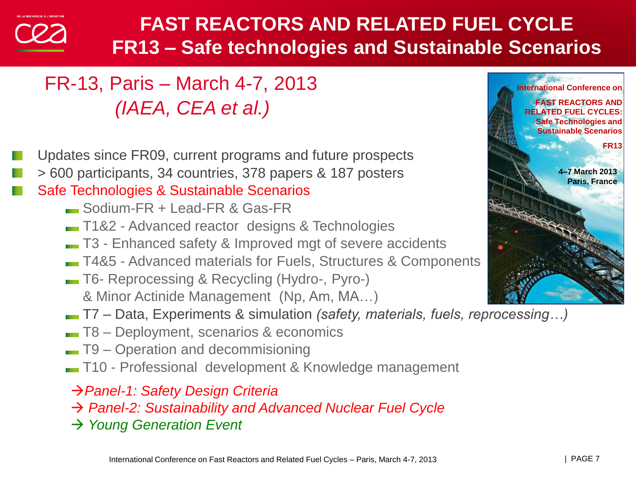## **FAST REACTORS AND RELATED FUEL CYCLE FR13 – Safe technologies and Sustainable Scenarios**

## FR-13, Paris – March 4-7, 2013  *(IAEA, CEA et al.)*

- Updates since FR09, current programs and future prospects
- > 600 participants, 34 countries, 378 papers & 187 posters

#### Safe Technologies & Sustainable Scenarios

- Sodium-FR + Lead-FR & Gas-FR
- T1&2 Advanced reactor designs & Technologies
- T3 Enhanced safety & Improved mgt of severe accidents
- T4&5 Advanced materials for Fuels, Structures & Components
- T6- Reprocessing & Recycling (Hydro-, Pyro-) & Minor Actinide Management (Np, Am, MA…)
- T7 Data, Experiments & simulation *(safety, materials, fuels, reprocessing…)*
- T8 Deployment, scenarios & economics
- T9 Operation and decommisioning
- T10 Professional development & Knowledge management
- *Panel-1: Safety Design Criteria*
- *Panel-2: Sustainability and Advanced Nuclear Fuel Cycle*
- → Young Generation Event

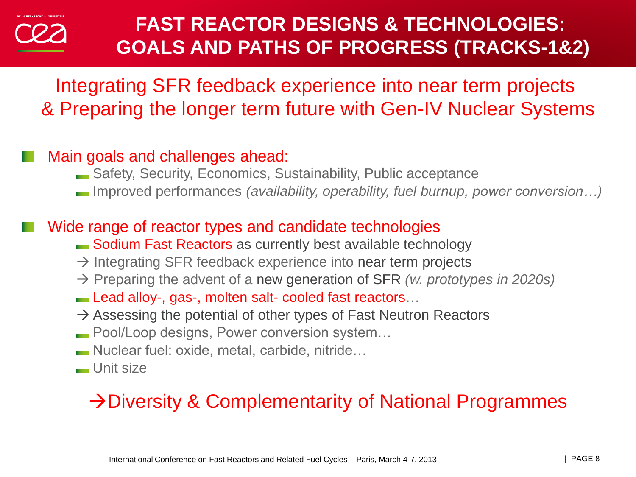## **FAST REACTOR DESIGNS & TECHNOLOGIES: GOALS AND PATHS OF PROGRESS (TRACKS-1&2)**

Integrating SFR feedback experience into near term projects & Preparing the longer term future with Gen-IV Nuclear Systems

#### Main goals and challenges ahead:

- Safety, Security, Economics, Sustainability, Public acceptance
- Improved performances *(availability, operability, fuel burnup, power conversion…)*

#### Wide range of reactor types and candidate technologies

- Sodium Fast Reactors as currently best available technology
- $\rightarrow$  Integrating SFR feedback experience into near term projects
- Preparing the advent of a new generation of SFR *(w. prototypes in 2020s)*
- Lead alloy-, gas-, molten salt- cooled fast reactors...
- $\rightarrow$  Assessing the potential of other types of Fast Neutron Reactors
- **Pool/Loop designs, Power conversion system...**
- Nuclear fuel: oxide, metal, carbide, nitride…
- **Unit size**

## $\rightarrow$  Diversity & Complementarity of National Programmes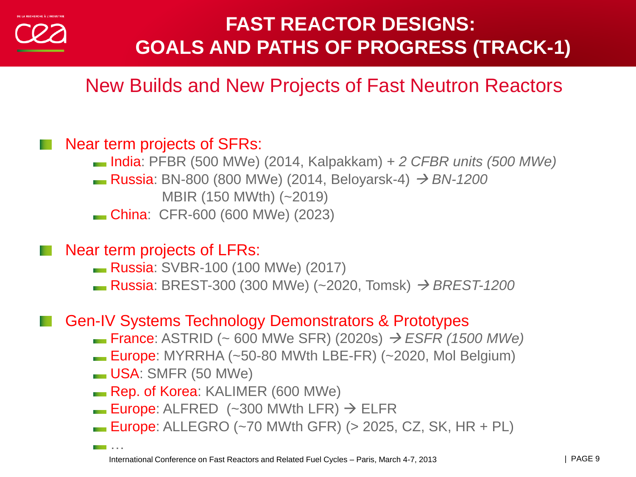## **FAST REACTOR DESIGNS: GOALS AND PATHS OF PROGRESS (TRACK-1)**

## New Builds and New Projects of Fast Neutron Reactors

#### Near term projects of SFRs:

- India: PFBR (500 MWe) (2014, Kalpakkam) *+ 2 CFBR units (500 MWe)* **■ Russia: BN-800 (800 MWe) (2014, Beloyarsk-4)** *→ BN-1200 MBIR* (150 MWth) (~2019)
- China: CFR-600 (600 MWe) (2023)

Near term projects of LFRs:

- Russia: SVBR-100 (100 MWe) (2017)
- **Russia**: BREST-300 (300 MWe) (~2020, Tomsk) → BREST-1200

#### Gen-IV Systems Technology Demonstrators & Prototypes

- France: ASTRID (~ 600 MWe SFR) (2020s) *ESFR (1500 MWe)*
- **Europe:** MYRRHA  $(-50-80$  MWth LBE-FR $)$   $(-2020,$  Mol Belgium $)$
- USA: SMFR (50 MWe)

…

- Rep. of Korea: KALIMER (600 MWe)
- **Europe:** ALFRED  $(-300 \text{ MWth LFR}) \rightarrow$  ELFR
- **Europe:** ALLEGRO  $(-70 \text{ M}$ Wth GFR $)$   $(> 2025, CZ, SK, HR + PL)$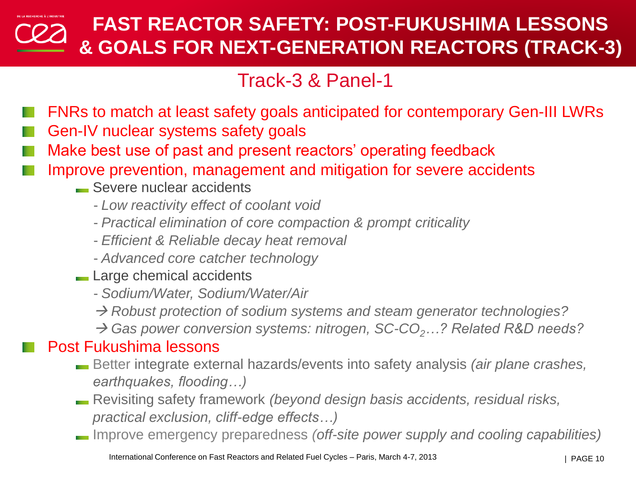## **FAST REACTOR SAFETY: POST-FUKUSHIMA LESSONS & GOALS FOR NEXT-GENERATION REACTORS (TRACK-3)**

## Track-3 & Panel-1

- FNRs to match at least safety goals anticipated for contemporary Gen-III LWRs
- Gen-IV nuclear systems safety goals
- Make best use of past and present reactors' operating feedback
- Improve prevention, management and mitigation for severe accidents
	- Severe nuclear accidents
		- *Low reactivity effect of coolant void*
		- *Practical elimination of core compaction & prompt criticality*
		- *Efficient & Reliable decay heat removal*
		- *Advanced core catcher technology*
	- **Large chemical accidents** 
		- *Sodium/Water, Sodium/Water/Air*
		- *Robust protection of sodium systems and steam generator technologies?*
		- → Gas power conversion systems: nitrogen, SC-CO<sub>2</sub>*…*? Related R&D needs?

#### Post Fukushima lessons

- Better integrate external hazards/events into safety analysis *(air plane crashes, earthquakes, flooding…)*
- Revisiting safety framework *(beyond design basis accidents, residual risks, practical exclusion, cliff-edge effects…)*
- Improve emergency preparedness *(off-site power supply and cooling capabilities)*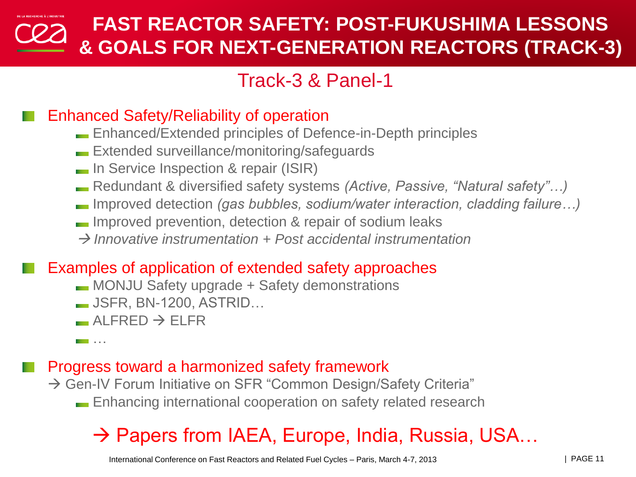## **FAST REACTOR SAFETY: POST-FUKUSHIMA LESSONS & GOALS FOR NEXT-GENERATION REACTORS (TRACK-3)**

## Track-3 & Panel-1

#### Enhanced Safety/Reliability of operation

- Enhanced/Extended principles of Defence-in-Depth principles
- **Extended surveillance/monitoring/safequards**
- **In Service Inspection & repair (ISIR)**
- Redundant & diversified safety systems *(Active, Passive, "Natural safety"…)*
- Improved detection *(gas bubbles, sodium/water interaction, cladding failure…)*
- **IMPROVED PROVENTION**, detection & repair of sodium leaks
- *Innovative instrumentation + Post accidental instrumentation*

#### Examples of application of extended safety approaches

- MONJU Safety upgrade + Safety demonstrations
- JSFR, BN-1200, ASTRID…
- $\overline{\phantom{a}}$  AI FRFD  $\rightarrow$  FI FR
- …

#### Progress toward a harmonized safety framework

 $\rightarrow$  Gen-IV Forum Initiative on SFR "Common Design/Safety Criteria" Enhancing international cooperation on safety related research

## $\rightarrow$  Papers from IAEA, Europe, India, Russia, USA...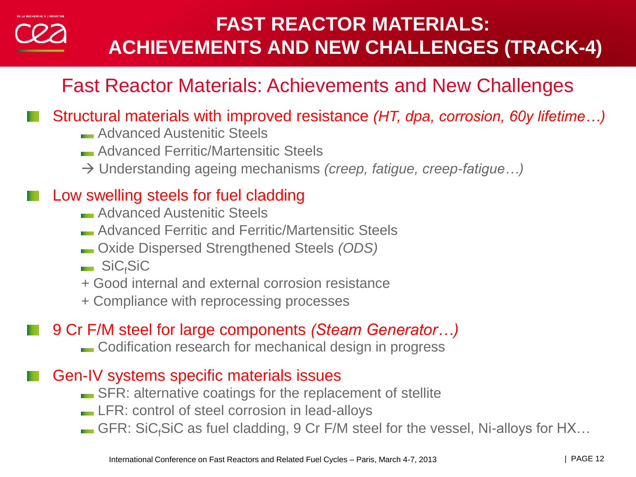## **FAST REACTOR MATERIALS: ACHIEVEMENTS AND NEW CHALLENGES (TRACK-4)**

## Fast Reactor Materials: Achievements and New Challenges

#### Structural materials with improved resistance *(HT, dpa, corrosion, 60y lifetime…)*

- **Advanced Austenitic Steels**
- Advanced Ferritic/Martensitic Steels
- Understanding ageing mechanisms *(creep, fatigue, creep-fatigue…)*

#### Low swelling steels for fuel cladding

- **Advanced Austenitic Steels**
- Advanced Ferritic and Ferritic/Martensitic Steels
- Oxide Dispersed Strengthened Steels *(ODS)*
- $\blacksquare$  SiC<sub>f</sub>SiC
- *+* Good internal and external corrosion resistance
- + Compliance with reprocessing processes

## 9 Cr F/M steel for large components *(Steam Generator…)*

Codification research for mechanical design in progress

#### Gen-IV systems specific materials issues

- **SFR:** alternative coatings for the replacement of stellite
- **LFR: control of steel corrosion in lead-alloys**
- GFR: SiC<sub>f</sub>SiC as fuel cladding, 9 Cr F/M steel for the vessel, Ni-alloys for  $HX...$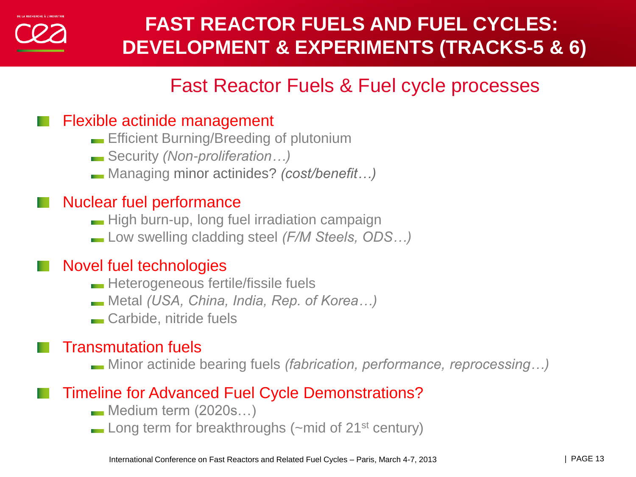## **FAST REACTOR FUELS AND FUEL CYCLES: DEVELOPMENT & EXPERIMENTS (TRACKS-5 & 6)**

## Fast Reactor Fuels & Fuel cycle processes

#### Flexible actinide management

- **Efficient Burning/Breeding of plutonium**
- Security *(Non-proliferation…)*
- Managing minor actinides? *(cost/benefit…)*

#### Nuclear fuel performance

- High burn-up, long fuel irradiation campaign
- Low swelling cladding steel *(F/M Steels, ODS…)*

#### Novel fuel technologies

- **Heterogeneous fertile/fissile fuels**
- Metal *(USA, China, India, Rep. of Korea…)*
- **Carbide, nitride fuels**

#### Transmutation fuels

Minor actinide bearing fuels *(fabrication, performance, reprocessing…)*

#### Timeline for Advanced Fuel Cycle Demonstrations?

- Medium term (2020s…)
- $\blacksquare$  Long term for breakthroughs ( $\sim$ mid of 21<sup>st</sup> century)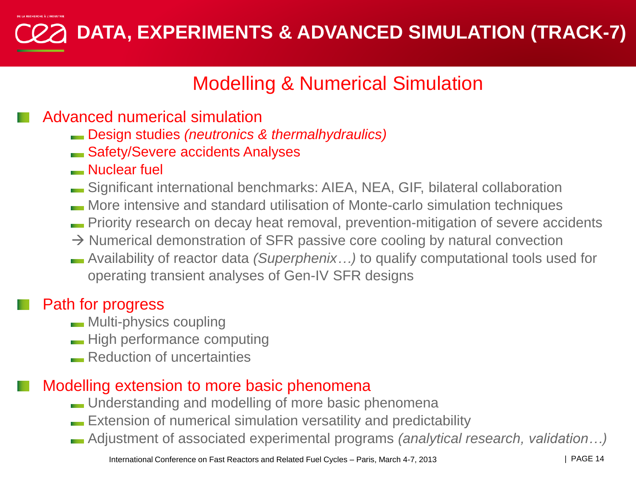**DATA, EXPERIMENTS & ADVANCED SIMULATION (TRACK-7)**

## Modelling & Numerical Simulation

#### Advanced numerical simulation

- Design studies *(neutronics & thermalhydraulics)*
- Safety/Severe accidents Analyses
- Nuclear fuel
- Significant international benchmarks: AIEA, NEA, GIF, bilateral collaboration
- More intensive and standard utilisation of Monte-carlo simulation techniques
- Priority research on decay heat removal, prevention-mitigation of severe accidents
- $\rightarrow$  Numerical demonstration of SFR passive core cooling by natural convection
- Availability of reactor data *(Superphenix…)* to qualify computational tools used for operating transient analyses of Gen-IV SFR designs

## Path for progress

- **Multi-physics coupling**
- **High performance computing**
- **Reduction of uncertainties**

#### Modelling extension to more basic phenomena

- **Landon Understanding and modelling of more basic phenomena**
- Extension of numerical simulation versatility and predictability
- Adjustment of associated experimental programs *(analytical research, validation…)*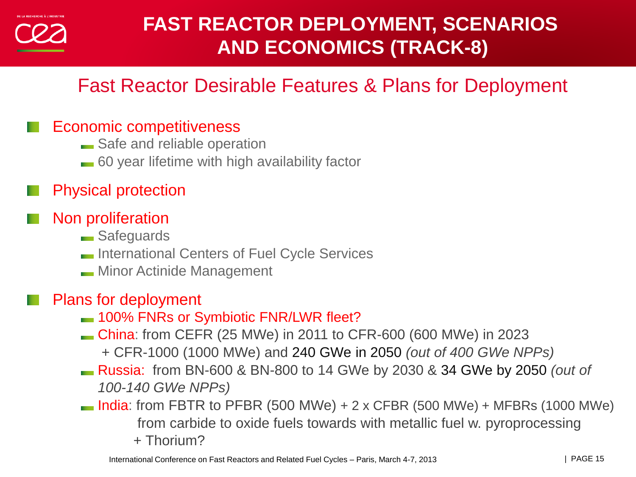## **FAST REACTOR DEPLOYMENT, SCENARIOS AND ECONOMICS (TRACK-8)**

## Fast Reactor Desirable Features & Plans for Deployment

#### Economic competitiveness

- Safe and reliable operation
- 60 year lifetime with high availability factor

### Physical protection

## Non proliferation

- **Safeguards**
- **International Centers of Fuel Cycle Services**
- **Minor Actinide Management**

#### Plans for deployment

- $-$  100% FNRs or Symbiotic FNR/LWR fleet?
- China: from CEFR (25 MWe) in 2011 to CFR-600 (600 MWe) in 2023 + CFR-1000 (1000 MWe) and 240 GWe in 2050 *(out of 400 GWe NPPs)*
- Russia: from BN-600 & BN-800 to 14 GWe by 2030 & 34 GWe by 2050 *(out of 100-140 GWe NPPs)*
- $\blacksquare$  India: from FBTR to PFBR (500 MWe) + 2 x CFBR (500 MWe) + MFBRs (1000 MWe) from carbide to oxide fuels towards with metallic fuel w. pyroprocessing + Thorium?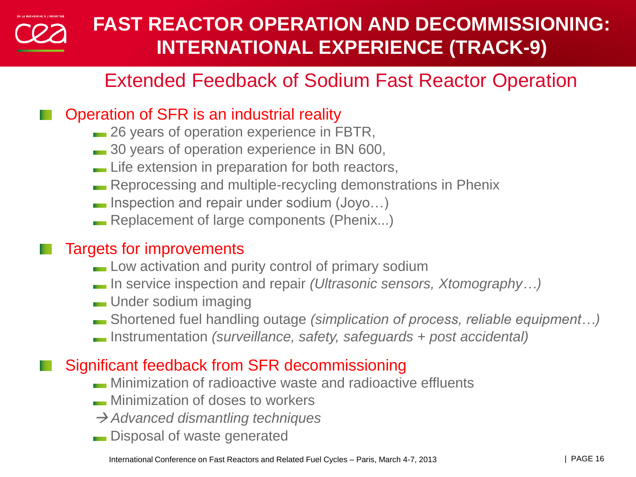

## **FAST REACTOR OPERATION AND DECOMMISSIONING: INTERNATIONAL EXPERIENCE (TRACK-9)**

## Extended Feedback of Sodium Fast Reactor Operation

#### Operation of SFR is an industrial reality

- **26 years of operation experience in FBTR,**
- **30 years of operation experience in BN 600,**
- **Life extension in preparation for both reactors,**
- **Reprocessing and multiple-recycling demonstrations in Phenix**
- **Inspection and repair under sodium (Joyo...)**
- Replacement of large components (Phenix...)

#### Targets for improvements

- **Low activation and purity control of primary sodium**
- In service inspection and repair *(Ultrasonic sensors, Xtomography…)*
- **Under sodium imaging**
- Shortened fuel handling outage *(simplication of process, reliable equipment…)*
- Instrumentation *(surveillance, safety, safeguards + post accidental)*

#### Significant feedback from SFR decommissioning

- Minimization of radioactive waste and radioactive effluents
- **Minimization of doses to workers**
- *Advanced dismantling techniques*
- **Disposal of waste generated**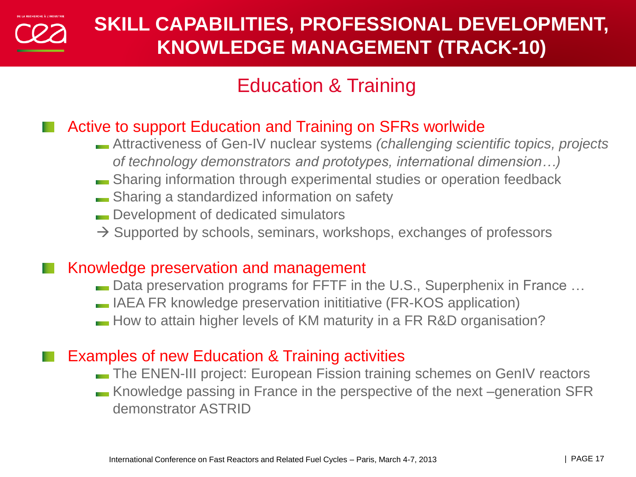

## Education & Training

#### Active to support Education and Training on SFRs worlwide

- Attractiveness of Gen-IV nuclear systems *(challenging scientific topics, projects of technology demonstrators and prototypes, international dimension…)*
- Sharing information through experimental studies or operation feedback
- **Sharing a standardized information on safety**
- **Development of dedicated simulators**
- $\rightarrow$  Supported by schools, seminars, workshops, exchanges of professors

#### Knowledge preservation and management

- **Data preservation programs for FFTF in the U.S., Superphenix in France ...**
- IAEA FR knowledge preservation inititiative (FR-KOS application)
- How to attain higher levels of KM maturity in a FR R&D organisation?

#### Examples of new Education & Training activities

- The ENEN-III project: European Fission training schemes on GenIV reactors
- Knowledge passing in France in the perspective of the next –generation SFR demonstrator ASTRID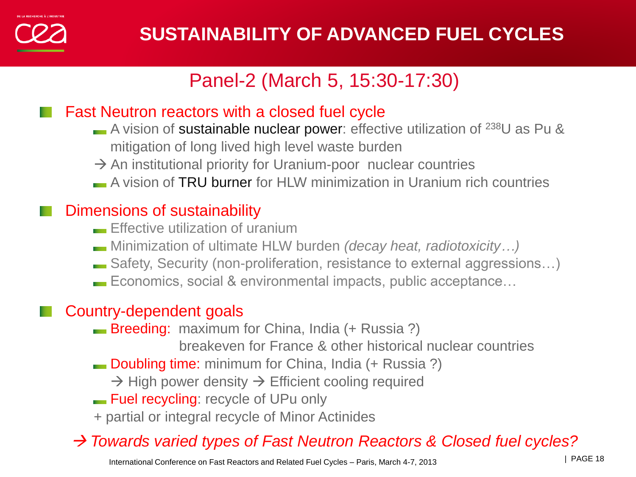

## Panel-2 (March 5, 15:30-17:30)

#### Fast Neutron reactors with a closed fuel cycle

- A vision of sustainable nuclear power: effective utilization of  $^{238}U$  as Pu & mitigation of long lived high level waste burden
- $\rightarrow$  An institutional priority for Uranium-poor nuclear countries
- A vision of TRU burner for HLW minimization in Uranium rich countries

#### Dimensions of sustainability

- **Effective utilization of uranium**
- Minimization of ultimate HLW burden *(decay heat, radiotoxicity…)*
- Safety, Security (non-proliferation, resistance to external aggressions…)
- Economics, social & environmental impacts, public acceptance…

## Country-dependent goals

- **Breeding:** maximum for China, India (+ Russia ?)
	- breakeven for France & other historical nuclear countries
- **Doubling time:** minimum for China, India (+ Russia ?)
	- $\rightarrow$  High power density  $\rightarrow$  Efficient cooling required
- **Fuel recycling:** recycle of UPu only
- + partial or integral recycle of Minor Actinides

## *Towards varied types of Fast Neutron Reactors & Closed fuel cycles?*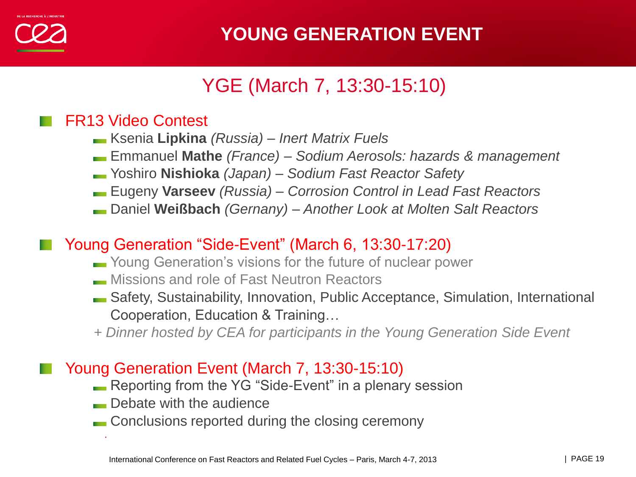

## YGE (March 7, 13:30-15:10)

#### FR13 Video Contest

- Ksenia **Lipkina** *(Russia) – Inert Matrix Fuels*
- Emmanuel **Mathe** *(France) – Sodium Aerosols: hazards & management*
- Yoshiro **Nishioka** *(Japan) – Sodium Fast Reactor Safety*
- Eugeny **Varseev** *(Russia) – Corrosion Control in Lead Fast Reactors*
- Daniel **Weißbach** *(Gernany) – Another Look at Molten Salt Reactors*

#### Young Generation "Side-Event" (March 6, 13:30-17:20)

- Young Generation's visions for the future of nuclear power
- **Missions and role of Fast Neutron Reactors**
- Safety, Sustainability, Innovation, Public Acceptance, Simulation, International Cooperation, Education & Training…
- *+ Dinner hosted by CEA for participants in the Young Generation Side Event*

#### Young Generation Event (March 7, 13:30-15:10)

- **Reporting from the YG "Side-Event" in a plenary session**
- **Debate with the audience**

·

**Conclusions reported during the closing ceremony**